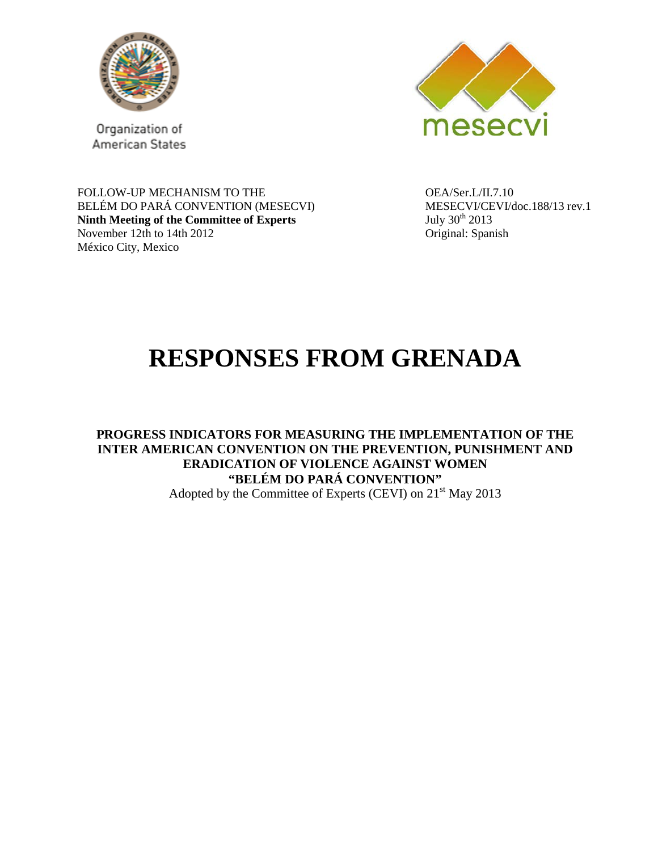

Organization of American States



FOLLOW-UP MECHANISM TO THE  $OEA/Set.L/II.7.10$ BELÉM DO PARÁ CONVENTION (MESECVI) MESECVI/CEVI/doc.188/13 rev.1<br>
Ninth Meeting of the Committee of Experts July 30<sup>th</sup> 2013 **Ninth Meeting of the Committee of Experts** November 12th to 14th 2012 Original: Spanish México City, Mexico

# **RESPONSES FROM GRENADA**

**PROGRESS INDICATORS FOR MEASURING THE IMPLEMENTATION OF THE INTER AMERICAN CONVENTION ON THE PREVENTION, PUNISHMENT AND ERADICATION OF VIOLENCE AGAINST WOMEN "BELÉM DO PARÁ CONVENTION"** Adopted by the Committee of Experts (CEVI) on 21<sup>st</sup> May 2013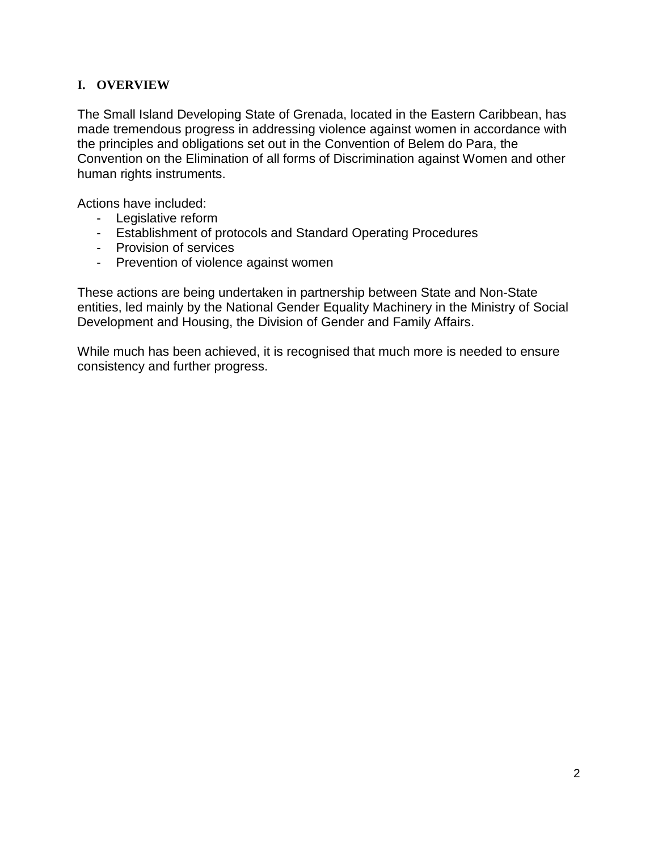## **I. OVERVIEW**

The Small Island Developing State of Grenada, located in the Eastern Caribbean, has made tremendous progress in addressing violence against women in accordance with the principles and obligations set out in the Convention of Belem do Para, the Convention on the Elimination of all forms of Discrimination against Women and other human rights instruments.

Actions have included:

- Legislative reform
- Establishment of protocols and Standard Operating Procedures
- Provision of services
- Prevention of violence against women

These actions are being undertaken in partnership between State and Non-State entities, led mainly by the National Gender Equality Machinery in the Ministry of Social Development and Housing, the Division of Gender and Family Affairs.

While much has been achieved, it is recognised that much more is needed to ensure consistency and further progress.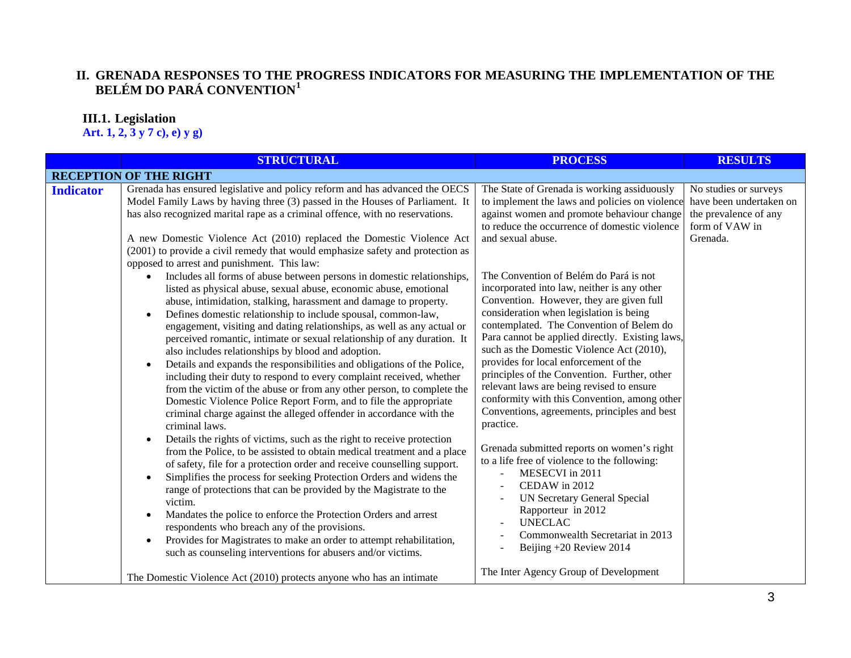## **II. GRENADA RESPONSES TO THE PROGRESS INDICATORS FOR MEASURING THE IMPLEMENTATION OF THE BELÉM DO PARÁ CONVENTION[1](#page-15-0)**

## **III.1. Legislation**

**Art. 1, 2, 3 y 7 c), e) y g)**

|                  | <b>STRUCTURAL</b>                                                                                                                                                                                                                                                                                                                                                                                                                                                                                                                                                                                                                                                                                                                                                                                                                                                                                                               | <b>PROCESS</b>                                                                                                                                                                                                                                                                                                                                                                                                                                                                                                                                                              | <b>RESULTS</b>                                                                              |
|------------------|---------------------------------------------------------------------------------------------------------------------------------------------------------------------------------------------------------------------------------------------------------------------------------------------------------------------------------------------------------------------------------------------------------------------------------------------------------------------------------------------------------------------------------------------------------------------------------------------------------------------------------------------------------------------------------------------------------------------------------------------------------------------------------------------------------------------------------------------------------------------------------------------------------------------------------|-----------------------------------------------------------------------------------------------------------------------------------------------------------------------------------------------------------------------------------------------------------------------------------------------------------------------------------------------------------------------------------------------------------------------------------------------------------------------------------------------------------------------------------------------------------------------------|---------------------------------------------------------------------------------------------|
|                  | <b>RECEPTION OF THE RIGHT</b>                                                                                                                                                                                                                                                                                                                                                                                                                                                                                                                                                                                                                                                                                                                                                                                                                                                                                                   |                                                                                                                                                                                                                                                                                                                                                                                                                                                                                                                                                                             |                                                                                             |
| <b>Indicator</b> | Grenada has ensured legislative and policy reform and has advanced the OECS<br>Model Family Laws by having three (3) passed in the Houses of Parliament. It<br>has also recognized marital rape as a criminal offence, with no reservations.                                                                                                                                                                                                                                                                                                                                                                                                                                                                                                                                                                                                                                                                                    | The State of Grenada is working assiduously<br>to implement the laws and policies on violence<br>against women and promote behaviour change<br>to reduce the occurrence of domestic violence                                                                                                                                                                                                                                                                                                                                                                                | No studies or surveys<br>have been undertaken on<br>the prevalence of any<br>form of VAW in |
|                  | A new Domestic Violence Act (2010) replaced the Domestic Violence Act<br>(2001) to provide a civil remedy that would emphasize safety and protection as<br>opposed to arrest and punishment. This law:                                                                                                                                                                                                                                                                                                                                                                                                                                                                                                                                                                                                                                                                                                                          | and sexual abuse.                                                                                                                                                                                                                                                                                                                                                                                                                                                                                                                                                           | Grenada.                                                                                    |
|                  | Includes all forms of abuse between persons in domestic relationships,<br>$\bullet$<br>listed as physical abuse, sexual abuse, economic abuse, emotional<br>abuse, intimidation, stalking, harassment and damage to property.<br>Defines domestic relationship to include spousal, common-law,<br>$\bullet$<br>engagement, visiting and dating relationships, as well as any actual or<br>perceived romantic, intimate or sexual relationship of any duration. It<br>also includes relationships by blood and adoption.<br>Details and expands the responsibilities and obligations of the Police,<br>$\bullet$<br>including their duty to respond to every complaint received, whether<br>from the victim of the abuse or from any other person, to complete the<br>Domestic Violence Police Report Form, and to file the appropriate<br>criminal charge against the alleged offender in accordance with the<br>criminal laws. | The Convention of Belém do Pará is not<br>incorporated into law, neither is any other<br>Convention. However, they are given full<br>consideration when legislation is being<br>contemplated. The Convention of Belem do<br>Para cannot be applied directly. Existing laws,<br>such as the Domestic Violence Act (2010),<br>provides for local enforcement of the<br>principles of the Convention. Further, other<br>relevant laws are being revised to ensure<br>conformity with this Convention, among other<br>Conventions, agreements, principles and best<br>practice. |                                                                                             |
|                  | Details the rights of victims, such as the right to receive protection<br>$\bullet$<br>from the Police, to be assisted to obtain medical treatment and a place<br>of safety, file for a protection order and receive counselling support.<br>Simplifies the process for seeking Protection Orders and widens the<br>range of protections that can be provided by the Magistrate to the<br>victim.<br>Mandates the police to enforce the Protection Orders and arrest<br>$\bullet$<br>respondents who breach any of the provisions.<br>Provides for Magistrates to make an order to attempt rehabilitation,<br>such as counseling interventions for abusers and/or victims.                                                                                                                                                                                                                                                      | Grenada submitted reports on women's right<br>to a life free of violence to the following:<br>MESECVI in 2011<br>CEDAW in 2012<br><b>UN Secretary General Special</b><br>Rapporteur in 2012<br><b>UNECLAC</b><br>Commonwealth Secretariat in 2013<br>Beijing +20 Review 2014                                                                                                                                                                                                                                                                                                |                                                                                             |
|                  | The Domestic Violence Act (2010) protects anyone who has an intimate                                                                                                                                                                                                                                                                                                                                                                                                                                                                                                                                                                                                                                                                                                                                                                                                                                                            | The Inter Agency Group of Development                                                                                                                                                                                                                                                                                                                                                                                                                                                                                                                                       |                                                                                             |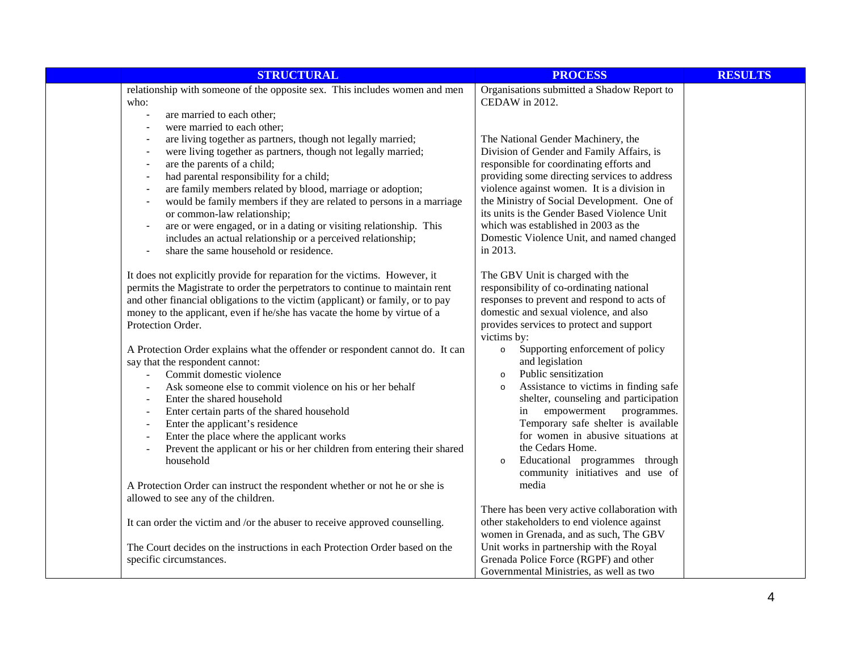| <b>STRUCTURAL</b>                                                                                                                                                                                                                                                                                                                                                                                                                                                                                                                                                                                                                                          | <b>PROCESS</b>                                                                                                                                                                                                                                                                                                                                                                                                                                                         | <b>RESULTS</b> |
|------------------------------------------------------------------------------------------------------------------------------------------------------------------------------------------------------------------------------------------------------------------------------------------------------------------------------------------------------------------------------------------------------------------------------------------------------------------------------------------------------------------------------------------------------------------------------------------------------------------------------------------------------------|------------------------------------------------------------------------------------------------------------------------------------------------------------------------------------------------------------------------------------------------------------------------------------------------------------------------------------------------------------------------------------------------------------------------------------------------------------------------|----------------|
| relationship with someone of the opposite sex. This includes women and men<br>who:<br>are married to each other;<br>$\overline{\phantom{a}}$<br>were married to each other;                                                                                                                                                                                                                                                                                                                                                                                                                                                                                | Organisations submitted a Shadow Report to<br>CEDAW in 2012.                                                                                                                                                                                                                                                                                                                                                                                                           |                |
| are living together as partners, though not legally married;<br>were living together as partners, though not legally married;<br>are the parents of a child;<br>had parental responsibility for a child;<br>are family members related by blood, marriage or adoption;<br>would be family members if they are related to persons in a marriage<br>or common-law relationship;<br>are or were engaged, or in a dating or visiting relationship. This<br>$\blacksquare$<br>includes an actual relationship or a perceived relationship;<br>share the same household or residence.                                                                            | The National Gender Machinery, the<br>Division of Gender and Family Affairs, is<br>responsible for coordinating efforts and<br>providing some directing services to address<br>violence against women. It is a division in<br>the Ministry of Social Development. One of<br>its units is the Gender Based Violence Unit<br>which was established in 2003 as the<br>Domestic Violence Unit, and named changed<br>in 2013.                                               |                |
| It does not explicitly provide for reparation for the victims. However, it<br>permits the Magistrate to order the perpetrators to continue to maintain rent<br>and other financial obligations to the victim (applicant) or family, or to pay<br>money to the applicant, even if he/she has vacate the home by virtue of a<br>Protection Order.<br>A Protection Order explains what the offender or respondent cannot do. It can<br>say that the respondent cannot:<br>Commit domestic violence<br>Ask someone else to commit violence on his or her behalf<br>Enter the shared household<br>$\blacksquare$<br>Enter certain parts of the shared household | The GBV Unit is charged with the<br>responsibility of co-ordinating national<br>responses to prevent and respond to acts of<br>domestic and sexual violence, and also<br>provides services to protect and support<br>victims by:<br>Supporting enforcement of policy<br>$\circ$<br>and legislation<br>Public sensitization<br>$\circ$<br>Assistance to victims in finding safe<br>$\circ$<br>shelter, counseling and participation<br>empowerment<br>programmes.<br>in |                |
| Enter the applicant's residence<br>$\blacksquare$<br>Enter the place where the applicant works<br>Prevent the applicant or his or her children from entering their shared<br>$\overline{\phantom{a}}$<br>household<br>A Protection Order can instruct the respondent whether or not he or she is                                                                                                                                                                                                                                                                                                                                                           | Temporary safe shelter is available<br>for women in abusive situations at<br>the Cedars Home.<br>Educational programmes through<br>$\circ$<br>community initiatives and use of<br>media                                                                                                                                                                                                                                                                                |                |
| allowed to see any of the children.<br>It can order the victim and /or the abuser to receive approved counselling.                                                                                                                                                                                                                                                                                                                                                                                                                                                                                                                                         | There has been very active collaboration with<br>other stakeholders to end violence against<br>women in Grenada, and as such, The GBV                                                                                                                                                                                                                                                                                                                                  |                |
| The Court decides on the instructions in each Protection Order based on the<br>specific circumstances.                                                                                                                                                                                                                                                                                                                                                                                                                                                                                                                                                     | Unit works in partnership with the Royal<br>Grenada Police Force (RGPF) and other<br>Governmental Ministries, as well as two                                                                                                                                                                                                                                                                                                                                           |                |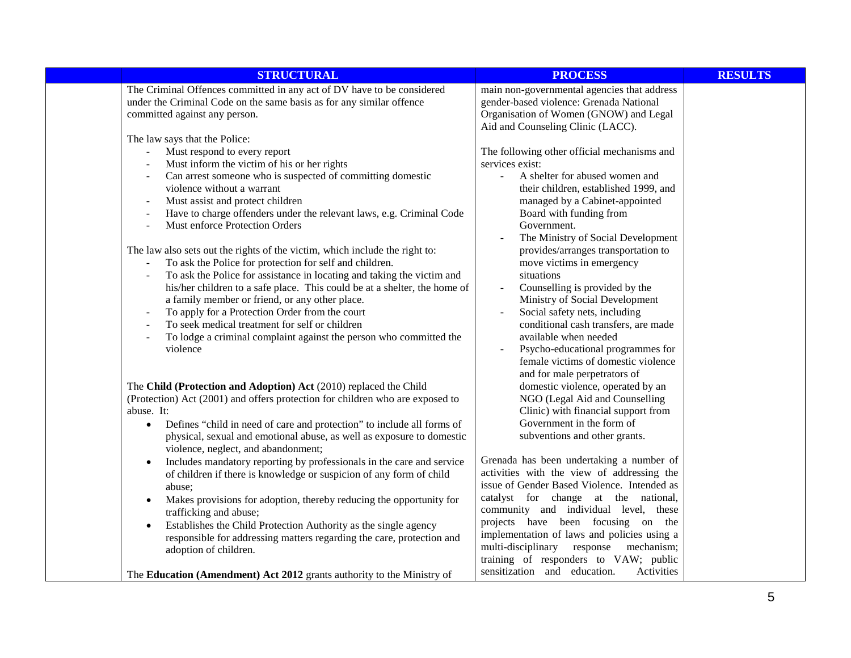| <b>STRUCTURAL</b>                                                                                                                                                                                                                                                                                                                                                                                                                                                                                                                                                                                                                                                                                                                                                                                                                                                                                                                                                                 | <b>PROCESS</b>                                                                                                                                                                                                                                                                                                                                                                                                                                                                                                                                                                                                                                                 | <b>RESULTS</b> |
|-----------------------------------------------------------------------------------------------------------------------------------------------------------------------------------------------------------------------------------------------------------------------------------------------------------------------------------------------------------------------------------------------------------------------------------------------------------------------------------------------------------------------------------------------------------------------------------------------------------------------------------------------------------------------------------------------------------------------------------------------------------------------------------------------------------------------------------------------------------------------------------------------------------------------------------------------------------------------------------|----------------------------------------------------------------------------------------------------------------------------------------------------------------------------------------------------------------------------------------------------------------------------------------------------------------------------------------------------------------------------------------------------------------------------------------------------------------------------------------------------------------------------------------------------------------------------------------------------------------------------------------------------------------|----------------|
| The Criminal Offences committed in any act of DV have to be considered<br>under the Criminal Code on the same basis as for any similar offence<br>committed against any person.                                                                                                                                                                                                                                                                                                                                                                                                                                                                                                                                                                                                                                                                                                                                                                                                   | main non-governmental agencies that address<br>gender-based violence: Grenada National<br>Organisation of Women (GNOW) and Legal<br>Aid and Counseling Clinic (LACC).                                                                                                                                                                                                                                                                                                                                                                                                                                                                                          |                |
| The law says that the Police:<br>Must respond to every report<br>$\Box$<br>Must inform the victim of his or her rights<br>Can arrest someone who is suspected of committing domestic<br>violence without a warrant<br>Must assist and protect children<br>Have to charge offenders under the relevant laws, e.g. Criminal Code<br>$\overline{a}$<br>Must enforce Protection Orders<br>$\overline{a}$<br>The law also sets out the rights of the victim, which include the right to:<br>To ask the Police for protection for self and children.<br>$\blacksquare$<br>To ask the Police for assistance in locating and taking the victim and<br>his/her children to a safe place. This could be at a shelter, the home of<br>a family member or friend, or any other place.<br>To apply for a Protection Order from the court<br>To seek medical treatment for self or children<br>$\overline{a}$<br>To lodge a criminal complaint against the person who committed the<br>violence | The following other official mechanisms and<br>services exist:<br>A shelter for abused women and<br>their children, established 1999, and<br>managed by a Cabinet-appointed<br>Board with funding from<br>Government.<br>The Ministry of Social Development<br>provides/arranges transportation to<br>move victims in emergency<br>situations<br>Counselling is provided by the<br>Ministry of Social Development<br>Social safety nets, including<br>conditional cash transfers, are made<br>available when needed<br>Psycho-educational programmes for<br>female victims of domestic violence                                                                |                |
| The Child (Protection and Adoption) Act (2010) replaced the Child<br>(Protection) Act (2001) and offers protection for children who are exposed to<br>abuse. It:<br>Defines "child in need of care and protection" to include all forms of<br>$\bullet$<br>physical, sexual and emotional abuse, as well as exposure to domestic<br>violence, neglect, and abandonment;<br>Includes mandatory reporting by professionals in the care and service<br>$\bullet$<br>of children if there is knowledge or suspicion of any form of child<br>abuse;<br>Makes provisions for adoption, thereby reducing the opportunity for<br>$\bullet$<br>trafficking and abuse;<br>Establishes the Child Protection Authority as the single agency<br>$\bullet$<br>responsible for addressing matters regarding the care, protection and<br>adoption of children.<br>The Education (Amendment) Act 2012 grants authority to the Ministry of                                                          | and for male perpetrators of<br>domestic violence, operated by an<br>NGO (Legal Aid and Counselling<br>Clinic) with financial support from<br>Government in the form of<br>subventions and other grants.<br>Grenada has been undertaking a number of<br>activities with the view of addressing the<br>issue of Gender Based Violence. Intended as<br>catalyst for change at the national,<br>community and individual level, these<br>projects have been focusing on the<br>implementation of laws and policies using a<br>multi-disciplinary<br>response<br>mechanism;<br>training of responders to VAW; public<br>sensitization and education.<br>Activities |                |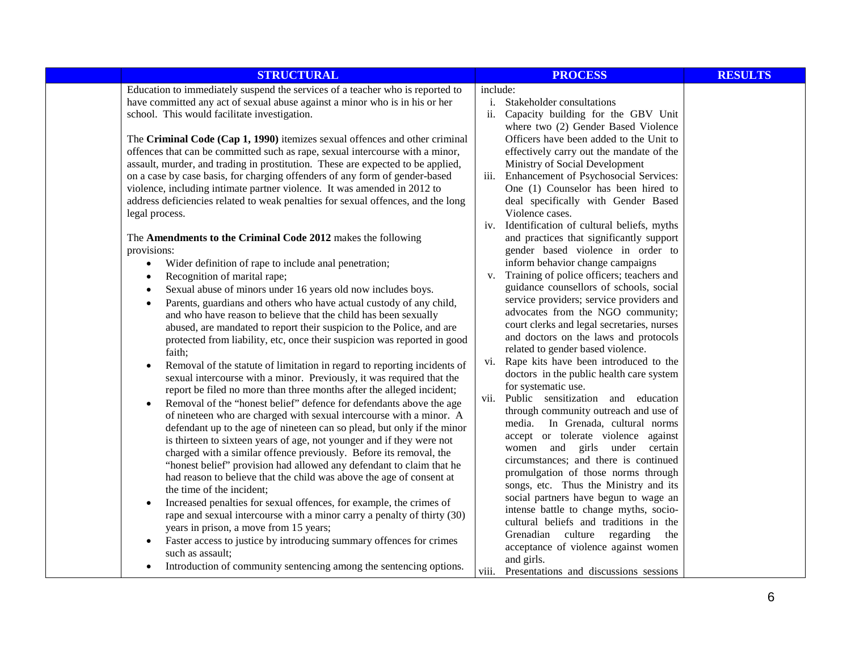| <b>STRUCTURAL</b>                                                                                                                                                                                                                                                                                                                                                                                                                                                                                                                                                                                                                                                                                                                                                                                                                                                                                                                                                                                                                                                                                                                                                                                                                                                  | <b>PROCESS</b>                                                                                                                                                                                                                                                                                                                                                                                                                                                                                                                                                                                                                                                                                                                                                                                                             | <b>RESULTS</b> |
|--------------------------------------------------------------------------------------------------------------------------------------------------------------------------------------------------------------------------------------------------------------------------------------------------------------------------------------------------------------------------------------------------------------------------------------------------------------------------------------------------------------------------------------------------------------------------------------------------------------------------------------------------------------------------------------------------------------------------------------------------------------------------------------------------------------------------------------------------------------------------------------------------------------------------------------------------------------------------------------------------------------------------------------------------------------------------------------------------------------------------------------------------------------------------------------------------------------------------------------------------------------------|----------------------------------------------------------------------------------------------------------------------------------------------------------------------------------------------------------------------------------------------------------------------------------------------------------------------------------------------------------------------------------------------------------------------------------------------------------------------------------------------------------------------------------------------------------------------------------------------------------------------------------------------------------------------------------------------------------------------------------------------------------------------------------------------------------------------------|----------------|
| Education to immediately suspend the services of a teacher who is reported to<br>have committed any act of sexual abuse against a minor who is in his or her<br>school. This would facilitate investigation.<br>The Criminal Code (Cap 1, 1990) itemizes sexual offences and other criminal<br>offences that can be committed such as rape, sexual intercourse with a minor,<br>assault, murder, and trading in prostitution. These are expected to be applied,<br>on a case by case basis, for charging offenders of any form of gender-based                                                                                                                                                                                                                                                                                                                                                                                                                                                                                                                                                                                                                                                                                                                     | include:<br>Stakeholder consultations<br>i.<br>Capacity building for the GBV Unit<br>ii.<br>where two (2) Gender Based Violence<br>Officers have been added to the Unit to<br>effectively carry out the mandate of the<br>Ministry of Social Development                                                                                                                                                                                                                                                                                                                                                                                                                                                                                                                                                                   |                |
| violence, including intimate partner violence. It was amended in 2012 to<br>address deficiencies related to weak penalties for sexual offences, and the long<br>legal process.                                                                                                                                                                                                                                                                                                                                                                                                                                                                                                                                                                                                                                                                                                                                                                                                                                                                                                                                                                                                                                                                                     | iii. Enhancement of Psychosocial Services:<br>One (1) Counselor has been hired to<br>deal specifically with Gender Based<br>Violence cases.<br>iv. Identification of cultural beliefs, myths                                                                                                                                                                                                                                                                                                                                                                                                                                                                                                                                                                                                                               |                |
| The Amendments to the Criminal Code 2012 makes the following<br>provisions:<br>Wider definition of rape to include anal penetration;<br>$\bullet$<br>Recognition of marital rape;<br>$\bullet$<br>Sexual abuse of minors under 16 years old now includes boys.<br>Parents, guardians and others who have actual custody of any child,<br>$\bullet$<br>and who have reason to believe that the child has been sexually<br>abused, are mandated to report their suspicion to the Police, and are<br>protected from liability, etc, once their suspicion was reported in good<br>faith;<br>Removal of the statute of limitation in regard to reporting incidents of<br>sexual intercourse with a minor. Previously, it was required that the<br>report be filed no more than three months after the alleged incident;<br>Removal of the "honest belief" defence for defendants above the age<br>of nineteen who are charged with sexual intercourse with a minor. A<br>defendant up to the age of nineteen can so plead, but only if the minor<br>is thirteen to sixteen years of age, not younger and if they were not<br>charged with a similar offence previously. Before its removal, the<br>"honest belief" provision had allowed any defendant to claim that he | and practices that significantly support<br>gender based violence in order to<br>inform behavior change campaigns<br>v. Training of police officers; teachers and<br>guidance counsellors of schools, social<br>service providers; service providers and<br>advocates from the NGO community;<br>court clerks and legal secretaries, nurses<br>and doctors on the laws and protocols<br>related to gender based violence.<br>vi. Rape kits have been introduced to the<br>doctors in the public health care system<br>for systematic use.<br>vii. Public sensitization and education<br>through community outreach and use of<br>media. In Grenada, cultural norms<br>accept or tolerate violence against<br>women and girls under certain<br>circumstances; and there is continued<br>promulgation of those norms through |                |
| had reason to believe that the child was above the age of consent at<br>the time of the incident;<br>Increased penalties for sexual offences, for example, the crimes of<br>rape and sexual intercourse with a minor carry a penalty of thirty (30)<br>years in prison, a move from 15 years;<br>Faster access to justice by introducing summary offences for crimes<br>$\bullet$<br>such as assault;<br>Introduction of community sentencing among the sentencing options.                                                                                                                                                                                                                                                                                                                                                                                                                                                                                                                                                                                                                                                                                                                                                                                        | songs, etc. Thus the Ministry and its<br>social partners have begun to wage an<br>intense battle to change myths, socio-<br>cultural beliefs and traditions in the<br>Grenadian culture regarding<br>the<br>acceptance of violence against women<br>and girls.<br>Presentations and discussions sessions<br>viii.                                                                                                                                                                                                                                                                                                                                                                                                                                                                                                          |                |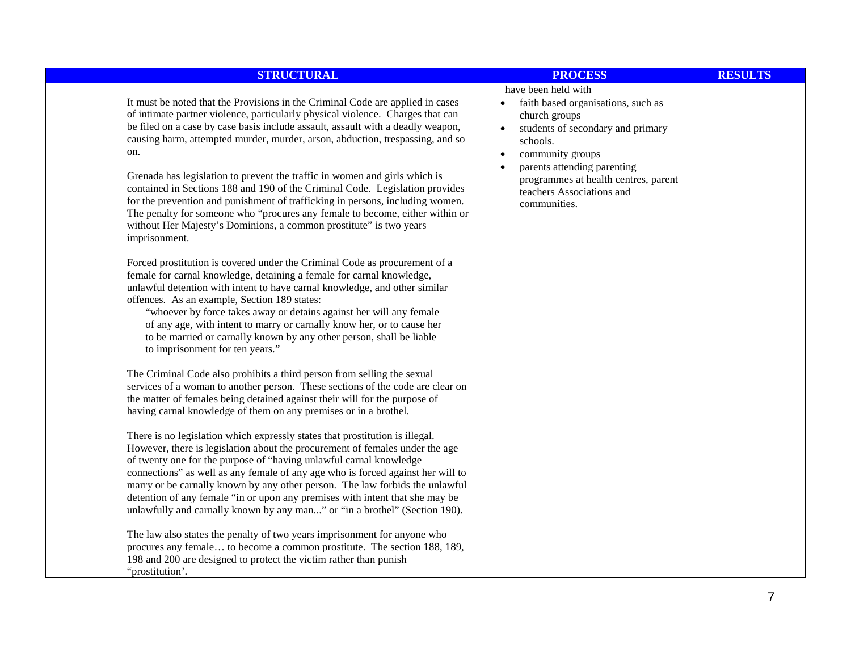| <b>STRUCTURAL</b>                                                                                                                                                                                                                                                                                                                                                                                                                                                                                                                                                                                                                                                                                                                                                                                                                                                                                                                                                                                                                                                                                                                                                                                                                                                                                                                                                                                                                                                                                                                                                                                                                                                                                                                                                                                 | <b>PROCESS</b>                                                                                                                                                                                                                                                                   | <b>RESULTS</b> |
|---------------------------------------------------------------------------------------------------------------------------------------------------------------------------------------------------------------------------------------------------------------------------------------------------------------------------------------------------------------------------------------------------------------------------------------------------------------------------------------------------------------------------------------------------------------------------------------------------------------------------------------------------------------------------------------------------------------------------------------------------------------------------------------------------------------------------------------------------------------------------------------------------------------------------------------------------------------------------------------------------------------------------------------------------------------------------------------------------------------------------------------------------------------------------------------------------------------------------------------------------------------------------------------------------------------------------------------------------------------------------------------------------------------------------------------------------------------------------------------------------------------------------------------------------------------------------------------------------------------------------------------------------------------------------------------------------------------------------------------------------------------------------------------------------|----------------------------------------------------------------------------------------------------------------------------------------------------------------------------------------------------------------------------------------------------------------------------------|----------------|
| It must be noted that the Provisions in the Criminal Code are applied in cases<br>of intimate partner violence, particularly physical violence. Charges that can<br>be filed on a case by case basis include assault, assault with a deadly weapon,<br>causing harm, attempted murder, murder, arson, abduction, trespassing, and so<br>on.<br>Grenada has legislation to prevent the traffic in women and girls which is<br>contained in Sections 188 and 190 of the Criminal Code. Legislation provides<br>for the prevention and punishment of trafficking in persons, including women.<br>The penalty for someone who "procures any female to become, either within or<br>without Her Majesty's Dominions, a common prostitute" is two years<br>imprisonment.<br>Forced prostitution is covered under the Criminal Code as procurement of a<br>female for carnal knowledge, detaining a female for carnal knowledge,<br>unlawful detention with intent to have carnal knowledge, and other similar<br>offences. As an example, Section 189 states:<br>"whoever by force takes away or detains against her will any female<br>of any age, with intent to marry or carnally know her, or to cause her<br>to be married or carnally known by any other person, shall be liable<br>to imprisonment for ten years."<br>The Criminal Code also prohibits a third person from selling the sexual<br>services of a woman to another person. These sections of the code are clear on<br>the matter of females being detained against their will for the purpose of<br>having carnal knowledge of them on any premises or in a brothel.<br>There is no legislation which expressly states that prostitution is illegal.<br>However, there is legislation about the procurement of females under the age | have been held with<br>faith based organisations, such as<br>church groups<br>students of secondary and primary<br>schools.<br>community groups<br>$\bullet$<br>parents attending parenting<br>programmes at health centres, parent<br>teachers Associations and<br>communities. |                |
| of twenty one for the purpose of "having unlawful carnal knowledge<br>connections" as well as any female of any age who is forced against her will to<br>marry or be carnally known by any other person. The law forbids the unlawful<br>detention of any female "in or upon any premises with intent that she may be<br>unlawfully and carnally known by any man" or "in a brothel" (Section 190).                                                                                                                                                                                                                                                                                                                                                                                                                                                                                                                                                                                                                                                                                                                                                                                                                                                                                                                                                                                                                                                                                                                                                                                                                                                                                                                                                                                               |                                                                                                                                                                                                                                                                                  |                |
| The law also states the penalty of two years imprisonment for anyone who<br>procures any female to become a common prostitute. The section 188, 189,<br>198 and 200 are designed to protect the victim rather than punish<br>"prostitution'.                                                                                                                                                                                                                                                                                                                                                                                                                                                                                                                                                                                                                                                                                                                                                                                                                                                                                                                                                                                                                                                                                                                                                                                                                                                                                                                                                                                                                                                                                                                                                      |                                                                                                                                                                                                                                                                                  |                |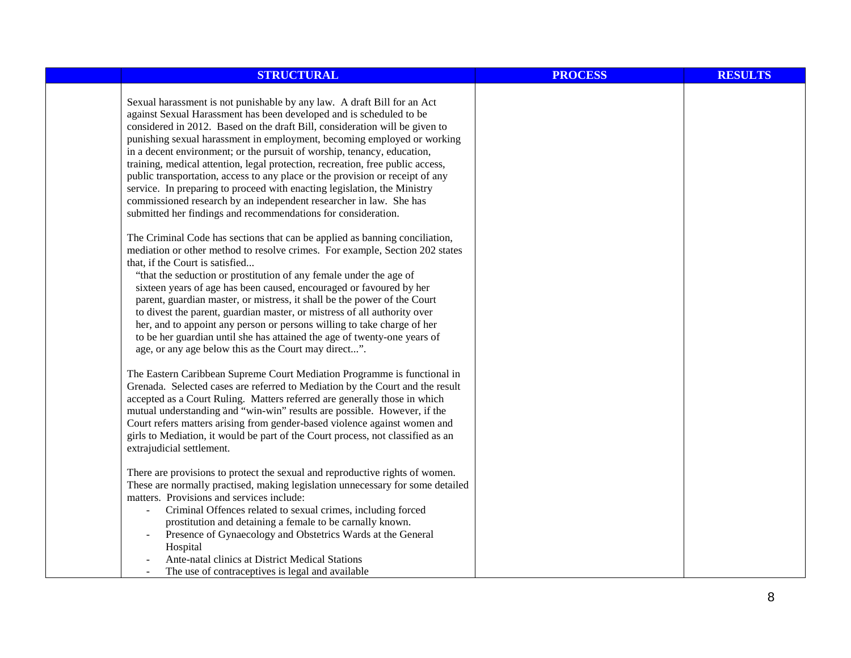| <b>STRUCTURAL</b>                                                                                                                                                                                                                                                                                                                                                                                                                                                                                                                                                                                                                                                                                                                                                         | <b>PROCESS</b> | <b>RESULTS</b> |
|---------------------------------------------------------------------------------------------------------------------------------------------------------------------------------------------------------------------------------------------------------------------------------------------------------------------------------------------------------------------------------------------------------------------------------------------------------------------------------------------------------------------------------------------------------------------------------------------------------------------------------------------------------------------------------------------------------------------------------------------------------------------------|----------------|----------------|
| Sexual harassment is not punishable by any law. A draft Bill for an Act<br>against Sexual Harassment has been developed and is scheduled to be<br>considered in 2012. Based on the draft Bill, consideration will be given to<br>punishing sexual harassment in employment, becoming employed or working<br>in a decent environment; or the pursuit of worship, tenancy, education,<br>training, medical attention, legal protection, recreation, free public access,<br>public transportation, access to any place or the provision or receipt of any<br>service. In preparing to proceed with enacting legislation, the Ministry<br>commissioned research by an independent researcher in law. She has<br>submitted her findings and recommendations for consideration. |                |                |
| The Criminal Code has sections that can be applied as banning conciliation,<br>mediation or other method to resolve crimes. For example, Section 202 states<br>that, if the Court is satisfied<br>"that the seduction or prostitution of any female under the age of<br>sixteen years of age has been caused, encouraged or favoured by her<br>parent, guardian master, or mistress, it shall be the power of the Court<br>to divest the parent, guardian master, or mistress of all authority over<br>her, and to appoint any person or persons willing to take charge of her<br>to be her guardian until she has attained the age of twenty-one years of<br>age, or any age below this as the Court may direct".                                                        |                |                |
| The Eastern Caribbean Supreme Court Mediation Programme is functional in<br>Grenada. Selected cases are referred to Mediation by the Court and the result<br>accepted as a Court Ruling. Matters referred are generally those in which<br>mutual understanding and "win-win" results are possible. However, if the<br>Court refers matters arising from gender-based violence against women and<br>girls to Mediation, it would be part of the Court process, not classified as an<br>extrajudicial settlement.                                                                                                                                                                                                                                                           |                |                |
| There are provisions to protect the sexual and reproductive rights of women.<br>These are normally practised, making legislation unnecessary for some detailed<br>matters. Provisions and services include:<br>Criminal Offences related to sexual crimes, including forced<br>$\blacksquare$<br>prostitution and detaining a female to be carnally known.<br>Presence of Gynaecology and Obstetrics Wards at the General<br>Hospital<br>Ante-natal clinics at District Medical Stations<br>The use of contraceptives is legal and available                                                                                                                                                                                                                              |                |                |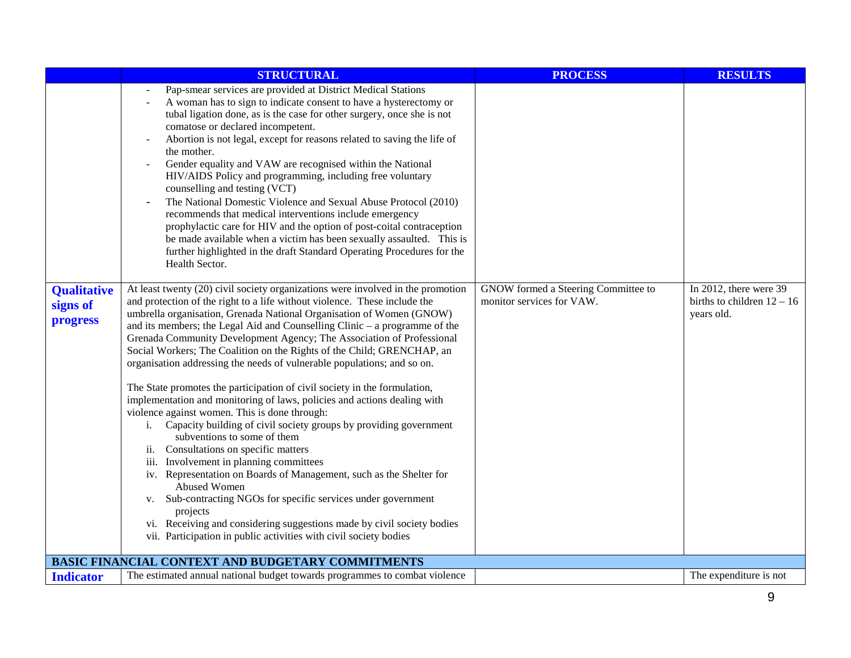|                                                   | <b>STRUCTURAL</b>                                                                                                                                                                                                                                                                                                                                                                                                                                                                                                                                                                                                                                                                                                                                                                                                                                                                                                                                                                                                                                                                                                                                                                                                                                                                                        | <b>PROCESS</b>                                                   | <b>RESULTS</b>                                                       |
|---------------------------------------------------|----------------------------------------------------------------------------------------------------------------------------------------------------------------------------------------------------------------------------------------------------------------------------------------------------------------------------------------------------------------------------------------------------------------------------------------------------------------------------------------------------------------------------------------------------------------------------------------------------------------------------------------------------------------------------------------------------------------------------------------------------------------------------------------------------------------------------------------------------------------------------------------------------------------------------------------------------------------------------------------------------------------------------------------------------------------------------------------------------------------------------------------------------------------------------------------------------------------------------------------------------------------------------------------------------------|------------------------------------------------------------------|----------------------------------------------------------------------|
|                                                   | Pap-smear services are provided at District Medical Stations<br>A woman has to sign to indicate consent to have a hysterectomy or<br>tubal ligation done, as is the case for other surgery, once she is not<br>comatose or declared incompetent.<br>Abortion is not legal, except for reasons related to saving the life of<br>the mother.<br>Gender equality and VAW are recognised within the National<br>HIV/AIDS Policy and programming, including free voluntary<br>counselling and testing (VCT)<br>The National Domestic Violence and Sexual Abuse Protocol (2010)<br>recommends that medical interventions include emergency<br>prophylactic care for HIV and the option of post-coital contraception<br>be made available when a victim has been sexually assaulted. This is<br>further highlighted in the draft Standard Operating Procedures for the<br>Health Sector.                                                                                                                                                                                                                                                                                                                                                                                                                        |                                                                  |                                                                      |
| <b>Qualitative</b><br>signs of<br><b>progress</b> | At least twenty (20) civil society organizations were involved in the promotion<br>and protection of the right to a life without violence. These include the<br>umbrella organisation, Grenada National Organisation of Women (GNOW)<br>and its members; the Legal Aid and Counselling Clinic $-$ a programme of the<br>Grenada Community Development Agency; The Association of Professional<br>Social Workers; The Coalition on the Rights of the Child; GRENCHAP, an<br>organisation addressing the needs of vulnerable populations; and so on.<br>The State promotes the participation of civil society in the formulation,<br>implementation and monitoring of laws, policies and actions dealing with<br>violence against women. This is done through:<br>Capacity building of civil society groups by providing government<br>i.<br>subventions to some of them<br>Consultations on specific matters<br>$\overline{\mathbf{11}}$ .<br>iii. Involvement in planning committees<br>iv. Representation on Boards of Management, such as the Shelter for<br>Abused Women<br>v. Sub-contracting NGOs for specific services under government<br>projects<br>vi. Receiving and considering suggestions made by civil society bodies<br>vii. Participation in public activities with civil society bodies | GNOW formed a Steering Committee to<br>monitor services for VAW. | In 2012, there were 39<br>births to children $12 - 16$<br>years old. |
|                                                   | BASIC FINANCIAL CONTEXT AND BUDGETARY COMMITMENTS                                                                                                                                                                                                                                                                                                                                                                                                                                                                                                                                                                                                                                                                                                                                                                                                                                                                                                                                                                                                                                                                                                                                                                                                                                                        |                                                                  |                                                                      |
| <b>Indicator</b>                                  | The estimated annual national budget towards programmes to combat violence                                                                                                                                                                                                                                                                                                                                                                                                                                                                                                                                                                                                                                                                                                                                                                                                                                                                                                                                                                                                                                                                                                                                                                                                                               |                                                                  | The expenditure is not                                               |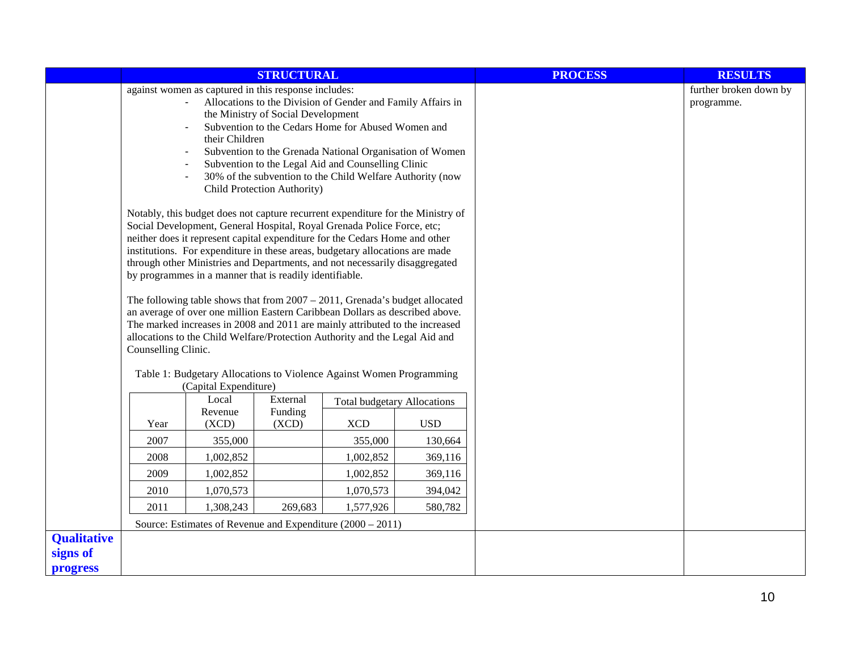|                    | <b>STRUCTURAL</b>                                                                                                                                                                                                                                                                                                                                                                                                                               |                                                                                  |                     |                                                                                                                                                                                                                                                                                                                                                                                                                                                                                                                                                                                                                                                                                                                                                                                                                  | <b>PROCESS</b> | <b>RESULTS</b> |                                      |
|--------------------|-------------------------------------------------------------------------------------------------------------------------------------------------------------------------------------------------------------------------------------------------------------------------------------------------------------------------------------------------------------------------------------------------------------------------------------------------|----------------------------------------------------------------------------------|---------------------|------------------------------------------------------------------------------------------------------------------------------------------------------------------------------------------------------------------------------------------------------------------------------------------------------------------------------------------------------------------------------------------------------------------------------------------------------------------------------------------------------------------------------------------------------------------------------------------------------------------------------------------------------------------------------------------------------------------------------------------------------------------------------------------------------------------|----------------|----------------|--------------------------------------|
|                    | against women as captured in this response includes:<br>Allocations to the Division of Gender and Family Affairs in<br>the Ministry of Social Development<br>Subvention to the Cedars Home for Abused Women and<br>their Children<br>Subvention to the Grenada National Organisation of Women<br>Subvention to the Legal Aid and Counselling Clinic<br>30% of the subvention to the Child Welfare Authority (now<br>Child Protection Authority) |                                                                                  |                     |                                                                                                                                                                                                                                                                                                                                                                                                                                                                                                                                                                                                                                                                                                                                                                                                                  |                |                | further broken down by<br>programme. |
|                    | Counselling Clinic.                                                                                                                                                                                                                                                                                                                                                                                                                             | by programmes in a manner that is readily identifiable.<br>(Capital Expenditure) |                     | Notably, this budget does not capture recurrent expenditure for the Ministry of<br>Social Development, General Hospital, Royal Grenada Police Force, etc;<br>neither does it represent capital expenditure for the Cedars Home and other<br>institutions. For expenditure in these areas, budgetary allocations are made<br>through other Ministries and Departments, and not necessarily disaggregated<br>The following table shows that from $2007 - 2011$ , Grenada's budget allocated<br>an average of over one million Eastern Caribbean Dollars as described above.<br>The marked increases in 2008 and 2011 are mainly attributed to the increased<br>allocations to the Child Welfare/Protection Authority and the Legal Aid and<br>Table 1: Budgetary Allocations to Violence Against Women Programming |                |                |                                      |
|                    |                                                                                                                                                                                                                                                                                                                                                                                                                                                 | Local<br>Revenue                                                                 | External<br>Funding | <b>Total budgetary Allocations</b>                                                                                                                                                                                                                                                                                                                                                                                                                                                                                                                                                                                                                                                                                                                                                                               |                |                |                                      |
|                    | Year                                                                                                                                                                                                                                                                                                                                                                                                                                            | (XCD)                                                                            | (XCD)               | <b>XCD</b>                                                                                                                                                                                                                                                                                                                                                                                                                                                                                                                                                                                                                                                                                                                                                                                                       | <b>USD</b>     |                |                                      |
|                    | 2007                                                                                                                                                                                                                                                                                                                                                                                                                                            | 355,000                                                                          |                     | 355,000                                                                                                                                                                                                                                                                                                                                                                                                                                                                                                                                                                                                                                                                                                                                                                                                          | 130,664        |                |                                      |
|                    | 2008                                                                                                                                                                                                                                                                                                                                                                                                                                            | 1,002,852                                                                        |                     | 1,002,852                                                                                                                                                                                                                                                                                                                                                                                                                                                                                                                                                                                                                                                                                                                                                                                                        | 369,116        |                |                                      |
|                    | 2009                                                                                                                                                                                                                                                                                                                                                                                                                                            | 1,002,852                                                                        |                     | 1,002,852                                                                                                                                                                                                                                                                                                                                                                                                                                                                                                                                                                                                                                                                                                                                                                                                        | 369,116        |                |                                      |
|                    | 2010<br>2011                                                                                                                                                                                                                                                                                                                                                                                                                                    | 1,070,573<br>1,308,243                                                           | 269,683             | 1,070,573<br>1,577,926                                                                                                                                                                                                                                                                                                                                                                                                                                                                                                                                                                                                                                                                                                                                                                                           | 394,042        |                |                                      |
|                    |                                                                                                                                                                                                                                                                                                                                                                                                                                                 |                                                                                  |                     | Source: Estimates of Revenue and Expenditure $(2000 - 2011)$                                                                                                                                                                                                                                                                                                                                                                                                                                                                                                                                                                                                                                                                                                                                                     | 580,782        |                |                                      |
| <b>Qualitative</b> |                                                                                                                                                                                                                                                                                                                                                                                                                                                 |                                                                                  |                     |                                                                                                                                                                                                                                                                                                                                                                                                                                                                                                                                                                                                                                                                                                                                                                                                                  |                |                |                                      |
| signs of           |                                                                                                                                                                                                                                                                                                                                                                                                                                                 |                                                                                  |                     |                                                                                                                                                                                                                                                                                                                                                                                                                                                                                                                                                                                                                                                                                                                                                                                                                  |                |                |                                      |
| progress           |                                                                                                                                                                                                                                                                                                                                                                                                                                                 |                                                                                  |                     |                                                                                                                                                                                                                                                                                                                                                                                                                                                                                                                                                                                                                                                                                                                                                                                                                  |                |                |                                      |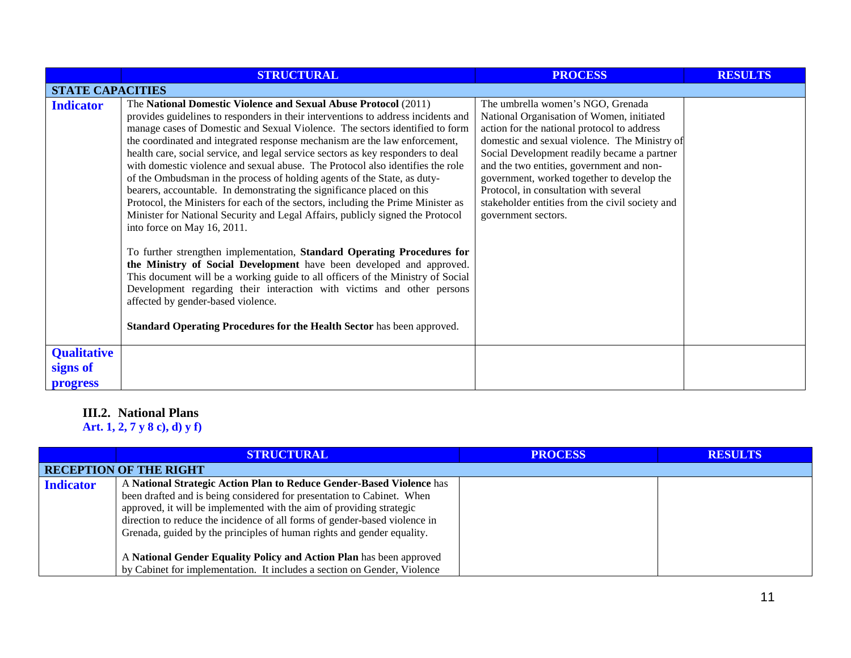|                                            | <b>STRUCTURAL</b>                                                                                                                                                                                                                                                                                                                                                                                                                                                                                                                                                                                                                                                                                                                                                                                                                                                                                                                                                                                                                                                                                                                                                                                         | <b>PROCESS</b>                                                                                                                                                                                                                                                                                                                                                                                                                               | <b>RESULTS</b> |  |  |
|--------------------------------------------|-----------------------------------------------------------------------------------------------------------------------------------------------------------------------------------------------------------------------------------------------------------------------------------------------------------------------------------------------------------------------------------------------------------------------------------------------------------------------------------------------------------------------------------------------------------------------------------------------------------------------------------------------------------------------------------------------------------------------------------------------------------------------------------------------------------------------------------------------------------------------------------------------------------------------------------------------------------------------------------------------------------------------------------------------------------------------------------------------------------------------------------------------------------------------------------------------------------|----------------------------------------------------------------------------------------------------------------------------------------------------------------------------------------------------------------------------------------------------------------------------------------------------------------------------------------------------------------------------------------------------------------------------------------------|----------------|--|--|
| <b>STATE CAPACITIES</b>                    |                                                                                                                                                                                                                                                                                                                                                                                                                                                                                                                                                                                                                                                                                                                                                                                                                                                                                                                                                                                                                                                                                                                                                                                                           |                                                                                                                                                                                                                                                                                                                                                                                                                                              |                |  |  |
| <b>Indicator</b>                           | The National Domestic Violence and Sexual Abuse Protocol (2011)<br>provides guidelines to responders in their interventions to address incidents and<br>manage cases of Domestic and Sexual Violence. The sectors identified to form<br>the coordinated and integrated response mechanism are the law enforcement,<br>health care, social service, and legal service sectors as key responders to deal<br>with domestic violence and sexual abuse. The Protocol also identifies the role<br>of the Ombudsman in the process of holding agents of the State, as duty-<br>bearers, accountable. In demonstrating the significance placed on this<br>Protocol, the Ministers for each of the sectors, including the Prime Minister as<br>Minister for National Security and Legal Affairs, publicly signed the Protocol<br>into force on May 16, 2011.<br>To further strengthen implementation, Standard Operating Procedures for<br>the Ministry of Social Development have been developed and approved.<br>This document will be a working guide to all officers of the Ministry of Social<br>Development regarding their interaction with victims and other persons<br>affected by gender-based violence. | The umbrella women's NGO, Grenada<br>National Organisation of Women, initiated<br>action for the national protocol to address<br>domestic and sexual violence. The Ministry of<br>Social Development readily became a partner<br>and the two entities, government and non-<br>government, worked together to develop the<br>Protocol, in consultation with several<br>stakeholder entities from the civil society and<br>government sectors. |                |  |  |
|                                            | Standard Operating Procedures for the Health Sector has been approved.                                                                                                                                                                                                                                                                                                                                                                                                                                                                                                                                                                                                                                                                                                                                                                                                                                                                                                                                                                                                                                                                                                                                    |                                                                                                                                                                                                                                                                                                                                                                                                                                              |                |  |  |
| <b>Qualitative</b><br>signs of<br>progress |                                                                                                                                                                                                                                                                                                                                                                                                                                                                                                                                                                                                                                                                                                                                                                                                                                                                                                                                                                                                                                                                                                                                                                                                           |                                                                                                                                                                                                                                                                                                                                                                                                                                              |                |  |  |

# **III.2. National Plans**

**Art. 1, 2, 7 y 8 c), d) y f)**

|                  | STRUCTURAL                                                                                                                                                                                                                                                                                                                                                                                                                                                                                                                        | <b>PROCESS</b> | <b>RESULTS</b> |
|------------------|-----------------------------------------------------------------------------------------------------------------------------------------------------------------------------------------------------------------------------------------------------------------------------------------------------------------------------------------------------------------------------------------------------------------------------------------------------------------------------------------------------------------------------------|----------------|----------------|
|                  | <b>RECEPTION OF THE RIGHT</b>                                                                                                                                                                                                                                                                                                                                                                                                                                                                                                     |                |                |
| <b>Indicator</b> | A National Strategic Action Plan to Reduce Gender-Based Violence has<br>been drafted and is being considered for presentation to Cabinet. When<br>approved, it will be implemented with the aim of providing strategic<br>direction to reduce the incidence of all forms of gender-based violence in<br>Grenada, guided by the principles of human rights and gender equality.<br>A National Gender Equality Policy and Action Plan has been approved<br>by Cabinet for implementation. It includes a section on Gender, Violence |                |                |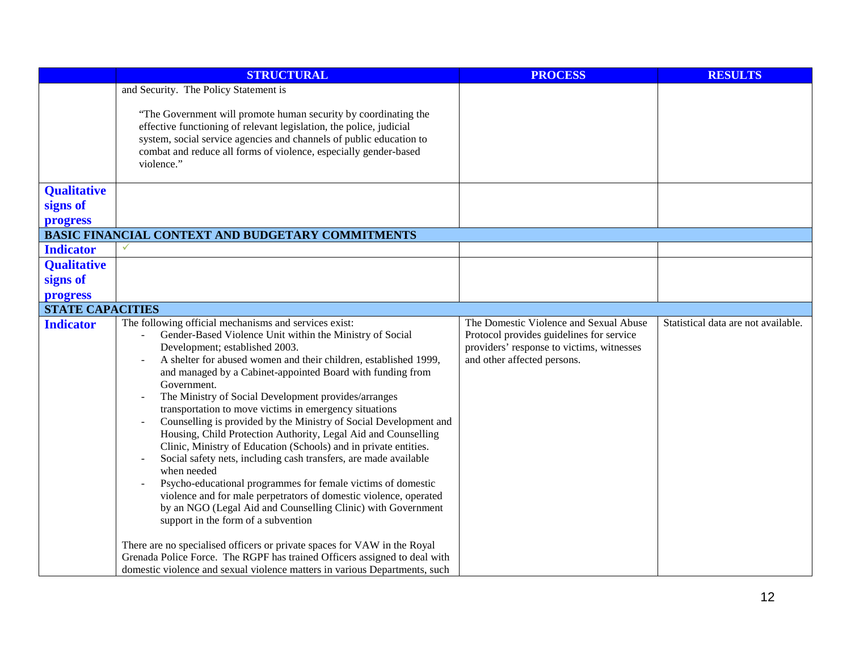|                         | <b>STRUCTURAL</b>                                                                                                                                                                                                                                                                                                                                                                                                                                                                                                                                                                                                                                                                                                                                                                                                                                                                                                                                                                                                                                                                                                                                                                                       | <b>PROCESS</b>                                                                                                                                                 | <b>RESULTS</b>                      |
|-------------------------|---------------------------------------------------------------------------------------------------------------------------------------------------------------------------------------------------------------------------------------------------------------------------------------------------------------------------------------------------------------------------------------------------------------------------------------------------------------------------------------------------------------------------------------------------------------------------------------------------------------------------------------------------------------------------------------------------------------------------------------------------------------------------------------------------------------------------------------------------------------------------------------------------------------------------------------------------------------------------------------------------------------------------------------------------------------------------------------------------------------------------------------------------------------------------------------------------------|----------------------------------------------------------------------------------------------------------------------------------------------------------------|-------------------------------------|
|                         | and Security. The Policy Statement is<br>"The Government will promote human security by coordinating the<br>effective functioning of relevant legislation, the police, judicial<br>system, social service agencies and channels of public education to<br>combat and reduce all forms of violence, especially gender-based<br>violence."                                                                                                                                                                                                                                                                                                                                                                                                                                                                                                                                                                                                                                                                                                                                                                                                                                                                |                                                                                                                                                                |                                     |
| <b>Qualitative</b>      |                                                                                                                                                                                                                                                                                                                                                                                                                                                                                                                                                                                                                                                                                                                                                                                                                                                                                                                                                                                                                                                                                                                                                                                                         |                                                                                                                                                                |                                     |
| signs of                |                                                                                                                                                                                                                                                                                                                                                                                                                                                                                                                                                                                                                                                                                                                                                                                                                                                                                                                                                                                                                                                                                                                                                                                                         |                                                                                                                                                                |                                     |
| progress                |                                                                                                                                                                                                                                                                                                                                                                                                                                                                                                                                                                                                                                                                                                                                                                                                                                                                                                                                                                                                                                                                                                                                                                                                         |                                                                                                                                                                |                                     |
| <b>Indicator</b>        | BASIC FINANCIAL CONTEXT AND BUDGETARY COMMITMENTS                                                                                                                                                                                                                                                                                                                                                                                                                                                                                                                                                                                                                                                                                                                                                                                                                                                                                                                                                                                                                                                                                                                                                       |                                                                                                                                                                |                                     |
| <b>Qualitative</b>      |                                                                                                                                                                                                                                                                                                                                                                                                                                                                                                                                                                                                                                                                                                                                                                                                                                                                                                                                                                                                                                                                                                                                                                                                         |                                                                                                                                                                |                                     |
| signs of                |                                                                                                                                                                                                                                                                                                                                                                                                                                                                                                                                                                                                                                                                                                                                                                                                                                                                                                                                                                                                                                                                                                                                                                                                         |                                                                                                                                                                |                                     |
| progress                |                                                                                                                                                                                                                                                                                                                                                                                                                                                                                                                                                                                                                                                                                                                                                                                                                                                                                                                                                                                                                                                                                                                                                                                                         |                                                                                                                                                                |                                     |
| <b>STATE CAPACITIES</b> |                                                                                                                                                                                                                                                                                                                                                                                                                                                                                                                                                                                                                                                                                                                                                                                                                                                                                                                                                                                                                                                                                                                                                                                                         |                                                                                                                                                                |                                     |
| <b>Indicator</b>        | The following official mechanisms and services exist:<br>Gender-Based Violence Unit within the Ministry of Social<br>Development; established 2003.<br>A shelter for abused women and their children, established 1999,<br>and managed by a Cabinet-appointed Board with funding from<br>Government.<br>The Ministry of Social Development provides/arranges<br>transportation to move victims in emergency situations<br>Counselling is provided by the Ministry of Social Development and<br>Housing, Child Protection Authority, Legal Aid and Counselling<br>Clinic, Ministry of Education (Schools) and in private entities.<br>Social safety nets, including cash transfers, are made available<br>when needed<br>Psycho-educational programmes for female victims of domestic<br>violence and for male perpetrators of domestic violence, operated<br>by an NGO (Legal Aid and Counselling Clinic) with Government<br>support in the form of a subvention<br>There are no specialised officers or private spaces for VAW in the Royal<br>Grenada Police Force. The RGPF has trained Officers assigned to deal with<br>domestic violence and sexual violence matters in various Departments, such | The Domestic Violence and Sexual Abuse<br>Protocol provides guidelines for service<br>providers' response to victims, witnesses<br>and other affected persons. | Statistical data are not available. |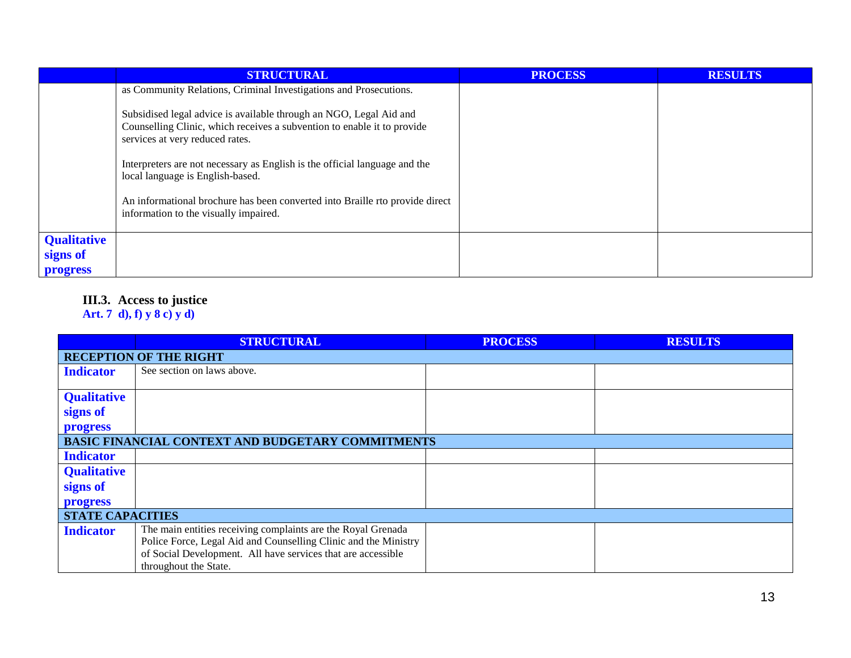|                    | <b>STRUCTURAL</b>                                                                                                                                                                | <b>PROCESS</b> | <b>RESULTS</b> |
|--------------------|----------------------------------------------------------------------------------------------------------------------------------------------------------------------------------|----------------|----------------|
|                    | as Community Relations, Criminal Investigations and Prosecutions.                                                                                                                |                |                |
|                    | Subsidised legal advice is available through an NGO, Legal Aid and<br>Counselling Clinic, which receives a subvention to enable it to provide<br>services at very reduced rates. |                |                |
|                    | Interpreters are not necessary as English is the official language and the<br>local language is English-based.                                                                   |                |                |
|                    | An informational brochure has been converted into Braille rto provide direct<br>information to the visually impaired.                                                            |                |                |
| <b>Qualitative</b> |                                                                                                                                                                                  |                |                |
| signs of           |                                                                                                                                                                                  |                |                |
| <b>progress</b>    |                                                                                                                                                                                  |                |                |

#### **III.3. Access to justice**

#### **Art. 7 d), f) y 8 c) y d)**

|                               | <b>STRUCTURAL</b>                                               | <b>PROCESS</b> | <b>RESULTS</b> |  |
|-------------------------------|-----------------------------------------------------------------|----------------|----------------|--|
| <b>RECEPTION OF THE RIGHT</b> |                                                                 |                |                |  |
| <b>Indicator</b>              | See section on laws above.                                      |                |                |  |
|                               |                                                                 |                |                |  |
| <b>Qualitative</b>            |                                                                 |                |                |  |
| signs of                      |                                                                 |                |                |  |
| progress                      |                                                                 |                |                |  |
|                               | BASIC FINANCIAL CONTEXT AND BUDGETARY COMMITMENTS               |                |                |  |
| <b>Indicator</b>              |                                                                 |                |                |  |
| <b>Qualitative</b>            |                                                                 |                |                |  |
| signs of                      |                                                                 |                |                |  |
| progress                      |                                                                 |                |                |  |
| <b>STATE CAPACITIES</b>       |                                                                 |                |                |  |
| <b>Indicator</b>              | The main entities receiving complaints are the Royal Grenada    |                |                |  |
|                               | Police Force, Legal Aid and Counselling Clinic and the Ministry |                |                |  |
|                               | of Social Development. All have services that are accessible    |                |                |  |
|                               | throughout the State.                                           |                |                |  |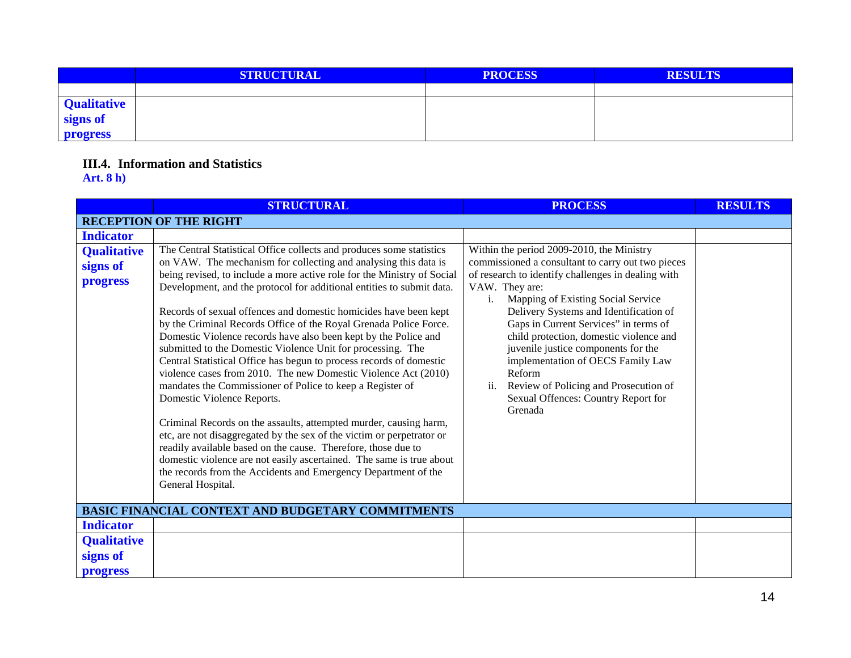|                                | <b>STRUCTURAL</b> | <b>PROCESS</b> | <b>RESULTS</b> |
|--------------------------------|-------------------|----------------|----------------|
|                                |                   |                |                |
|                                |                   |                |                |
| <b>Qualitative</b><br>signs of |                   |                |                |
| <b>progress</b>                |                   |                |                |

## **III.4. Information and Statistics**

## **Art. 8 h)**

|                                            | <b>STRUCTURAL</b>                                                                                                                                                                                                                                                                                                                                                                                                                                                                                                                                                                                                                                                                                                                                                                                                                                                                                                                                                                                                                                                                                                                                                                        | <b>PROCESS</b>                                                                                                                                                                                                                                                                                                                                                                                                                                                                                                                           | <b>RESULTS</b> |  |
|--------------------------------------------|------------------------------------------------------------------------------------------------------------------------------------------------------------------------------------------------------------------------------------------------------------------------------------------------------------------------------------------------------------------------------------------------------------------------------------------------------------------------------------------------------------------------------------------------------------------------------------------------------------------------------------------------------------------------------------------------------------------------------------------------------------------------------------------------------------------------------------------------------------------------------------------------------------------------------------------------------------------------------------------------------------------------------------------------------------------------------------------------------------------------------------------------------------------------------------------|------------------------------------------------------------------------------------------------------------------------------------------------------------------------------------------------------------------------------------------------------------------------------------------------------------------------------------------------------------------------------------------------------------------------------------------------------------------------------------------------------------------------------------------|----------------|--|
|                                            | <b>RECEPTION OF THE RIGHT</b>                                                                                                                                                                                                                                                                                                                                                                                                                                                                                                                                                                                                                                                                                                                                                                                                                                                                                                                                                                                                                                                                                                                                                            |                                                                                                                                                                                                                                                                                                                                                                                                                                                                                                                                          |                |  |
| <b>Indicator</b>                           |                                                                                                                                                                                                                                                                                                                                                                                                                                                                                                                                                                                                                                                                                                                                                                                                                                                                                                                                                                                                                                                                                                                                                                                          |                                                                                                                                                                                                                                                                                                                                                                                                                                                                                                                                          |                |  |
| <b>Qualitative</b><br>signs of<br>progress | The Central Statistical Office collects and produces some statistics<br>on VAW. The mechanism for collecting and analysing this data is<br>being revised, to include a more active role for the Ministry of Social<br>Development, and the protocol for additional entities to submit data.<br>Records of sexual offences and domestic homicides have been kept<br>by the Criminal Records Office of the Royal Grenada Police Force.<br>Domestic Violence records have also been kept by the Police and<br>submitted to the Domestic Violence Unit for processing. The<br>Central Statistical Office has begun to process records of domestic<br>violence cases from 2010. The new Domestic Violence Act (2010)<br>mandates the Commissioner of Police to keep a Register of<br>Domestic Violence Reports.<br>Criminal Records on the assaults, attempted murder, causing harm,<br>etc, are not disaggregated by the sex of the victim or perpetrator or<br>readily available based on the cause. Therefore, those due to<br>domestic violence are not easily ascertained. The same is true about<br>the records from the Accidents and Emergency Department of the<br>General Hospital. | Within the period 2009-2010, the Ministry<br>commissioned a consultant to carry out two pieces<br>of research to identify challenges in dealing with<br>VAW. They are:<br>Mapping of Existing Social Service<br>i.<br>Delivery Systems and Identification of<br>Gaps in Current Services" in terms of<br>child protection, domestic violence and<br>juvenile justice components for the<br>implementation of OECS Family Law<br>Reform<br>Review of Policing and Prosecution of<br>ii.<br>Sexual Offences: Country Report for<br>Grenada |                |  |
|                                            | <b>BASIC FINANCIAL CONTEXT AND BUDGETARY COMMITMENTS</b>                                                                                                                                                                                                                                                                                                                                                                                                                                                                                                                                                                                                                                                                                                                                                                                                                                                                                                                                                                                                                                                                                                                                 |                                                                                                                                                                                                                                                                                                                                                                                                                                                                                                                                          |                |  |
| <b>Indicator</b>                           |                                                                                                                                                                                                                                                                                                                                                                                                                                                                                                                                                                                                                                                                                                                                                                                                                                                                                                                                                                                                                                                                                                                                                                                          |                                                                                                                                                                                                                                                                                                                                                                                                                                                                                                                                          |                |  |
| <b>Qualitative</b>                         |                                                                                                                                                                                                                                                                                                                                                                                                                                                                                                                                                                                                                                                                                                                                                                                                                                                                                                                                                                                                                                                                                                                                                                                          |                                                                                                                                                                                                                                                                                                                                                                                                                                                                                                                                          |                |  |
| signs of<br><b>progress</b>                |                                                                                                                                                                                                                                                                                                                                                                                                                                                                                                                                                                                                                                                                                                                                                                                                                                                                                                                                                                                                                                                                                                                                                                                          |                                                                                                                                                                                                                                                                                                                                                                                                                                                                                                                                          |                |  |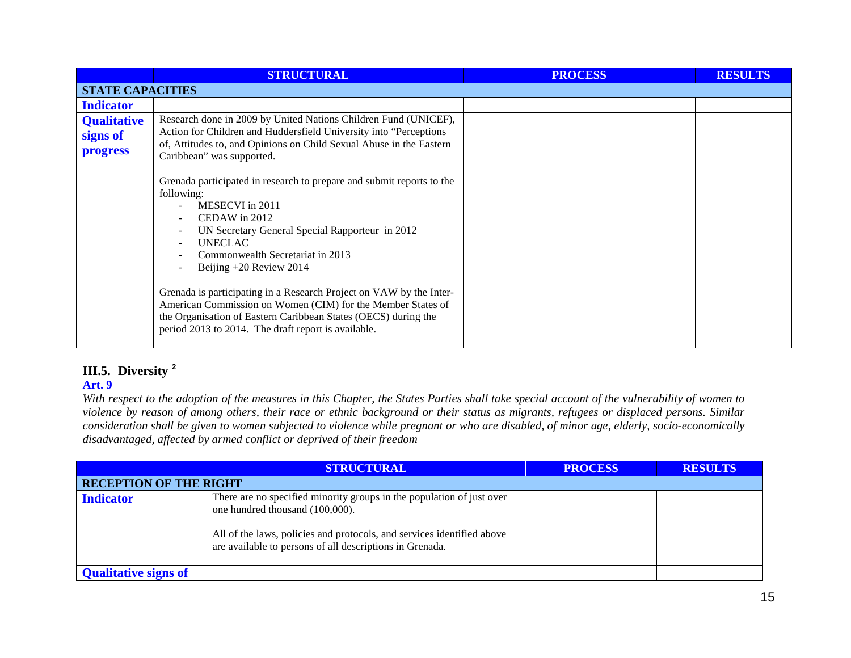|                                            | <b>STRUCTURAL</b>                                                                                                                                                                                                                                                                                                                                                                                                                                                                                                                    | <b>PROCESS</b> | <b>RESULTS</b> |  |
|--------------------------------------------|--------------------------------------------------------------------------------------------------------------------------------------------------------------------------------------------------------------------------------------------------------------------------------------------------------------------------------------------------------------------------------------------------------------------------------------------------------------------------------------------------------------------------------------|----------------|----------------|--|
|                                            | <b>STATE CAPACITIES</b>                                                                                                                                                                                                                                                                                                                                                                                                                                                                                                              |                |                |  |
| <b>Indicator</b>                           |                                                                                                                                                                                                                                                                                                                                                                                                                                                                                                                                      |                |                |  |
| <b>Qualitative</b><br>signs of<br>progress | Research done in 2009 by United Nations Children Fund (UNICEF),<br>Action for Children and Huddersfield University into "Perceptions"<br>of, Attitudes to, and Opinions on Child Sexual Abuse in the Eastern<br>Caribbean" was supported.                                                                                                                                                                                                                                                                                            |                |                |  |
|                                            | Grenada participated in research to prepare and submit reports to the<br>following:<br>MESECVI in 2011<br>CEDAW in 2012<br>UN Secretary General Special Rapporteur in 2012<br><b>UNECLAC</b><br>$\sim$<br>Commonwealth Secretariat in 2013<br>Beijing +20 Review 2014<br>Grenada is participating in a Research Project on VAW by the Inter-<br>American Commission on Women (CIM) for the Member States of<br>the Organisation of Eastern Caribbean States (OECS) during the<br>period 2013 to 2014. The draft report is available. |                |                |  |

## **III.5. Diversity [2](#page-15-1)**

## **Art. 9**

*With respect to the adoption of the measures in this Chapter, the States Parties shall take special account of the vulnerability of women to violence by reason of among others, their race or ethnic background or their status as migrants, refugees or displaced persons. Similar consideration shall be given to women subjected to violence while pregnant or who are disabled, of minor age, elderly, socio-economically disadvantaged, affected by armed conflict or deprived of their freedom*

|                               | <b>STRUCTURAL</b>                                                                                                                                                                                                                              | <b>PROCESS</b> | <b>RESULTS</b> |
|-------------------------------|------------------------------------------------------------------------------------------------------------------------------------------------------------------------------------------------------------------------------------------------|----------------|----------------|
| <b>RECEPTION OF THE RIGHT</b> |                                                                                                                                                                                                                                                |                |                |
| <b>Indicator</b>              | There are no specified minority groups in the population of just over<br>one hundred thousand (100,000).<br>All of the laws, policies and protocols, and services identified above<br>are available to persons of all descriptions in Grenada. |                |                |
| <b>Qualitative signs of</b>   |                                                                                                                                                                                                                                                |                |                |